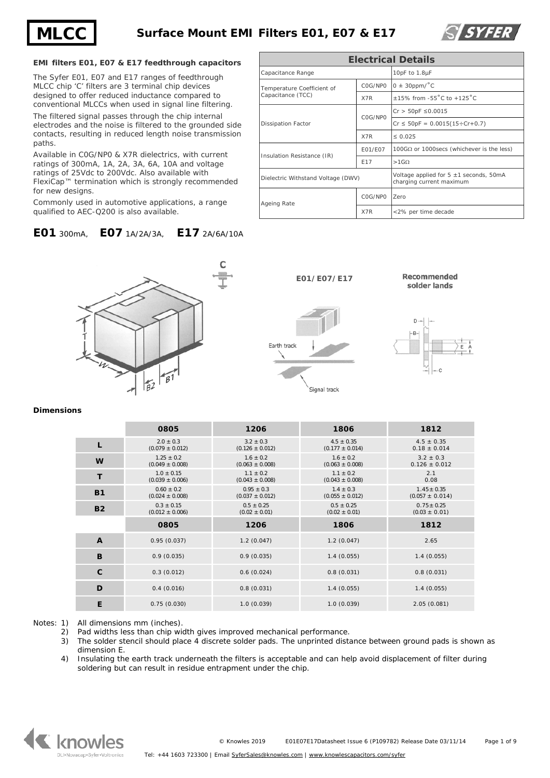



## **EMI filters E01, E07 & E17 feedthrough capacitors**

The Syfer E01, E07 and E17 ranges of feedthrough MLCC chip 'C' filters are 3 terminal chip devices designed to offer reduced inductance compared to conventional MLCCs when used in signal line filtering.

The filtered signal passes through the chip internal electrodes and the noise is filtered to the grounded side contacts, resulting in reduced length noise transmission paths.

Available in C0G/NP0 & X7R dielectrics, with current ratings of 300mA, 1A, 2A, 3A, 6A, 10A and voltage ratings of 25Vdc to 200Vdc. Also available with FlexiCap™ termination which is strongly recommended for new designs

Commonly used in automotive applications, a range qualified to AEC-Q200 is also available.

# **E01** 300mA, **E07** 1A/2A/3A, **E17** 2A/6A/10A

| <b>Electrical Details</b>          |                 |                                                                         |  |  |
|------------------------------------|-----------------|-------------------------------------------------------------------------|--|--|
| Capacitance Range                  | 10pF to 1.8µF   |                                                                         |  |  |
| Temperature Coefficient of         | COG/NPO         | $0 \pm 30$ ppm/ $^{\circ}$ C                                            |  |  |
| Capacitance (TCC)                  | X7R             | +15% from -55 $^{\circ}$ C to +125 $^{\circ}$ C                         |  |  |
|                                    | COG/NPO         | $Cr > 50pF \le 0.0015$                                                  |  |  |
| Dissipation Factor                 |                 | $Cr \leq 50pF = 0.0015(15 \div Cr + 0.7)$                               |  |  |
|                                    | X7R             | $\leq 0.025$                                                            |  |  |
|                                    | E01/E07         | 100GΩ or 1000secs (whichever is the less)                               |  |  |
| Insulation Resistance (IR)         | F <sub>17</sub> | $>1$ GQ                                                                 |  |  |
| Dielectric Withstand Voltage (DWV) |                 | Voltage applied for $5 \pm 1$ seconds, 50mA<br>charging current maximum |  |  |
| Ageing Rate                        | COG/NPO         | Zero                                                                    |  |  |
|                                    | X7R             | <2% per time decade                                                     |  |  |









**Dimensions**

|              | 0805                                  | 1206                                  | 1806                                  | 1812                                   |
|--------------|---------------------------------------|---------------------------------------|---------------------------------------|----------------------------------------|
| L            | $2.0 \pm 0.3$<br>$(0.079 \pm 0.012)$  | $3.2 \pm 0.3$<br>$(0.126 \pm 0.012)$  | $4.5 \pm 0.35$<br>$(0.177 \pm 0.014)$ | $4.5 \pm 0.35$<br>$0.18 \pm 0.014$     |
| W            | $1.25 \pm 0.2$<br>$(0.049 \pm 0.008)$ | $1.6 \pm 0.2$<br>$(0.063 \pm 0.008)$  | $1.6 \pm 0.2$<br>$(0.063 \pm 0.008)$  | $3.2 \pm 0.3$<br>$0.126 \pm 0.012$     |
| T            | $1.0 \pm 0.15$<br>$(0.039 \pm 0.006)$ | $1.1 \pm 0.2$<br>$(0.043 \pm 0.008)$  | $1.1 \pm 0.2$<br>$(0.043 \pm 0.008)$  | 2.1<br>0.08                            |
| <b>B1</b>    | $0.60 \pm 0.2$<br>$(0.024 \pm 0.008)$ | $0.95 \pm 0.3$<br>$(0.037 \pm 0.012)$ | $1.4 \pm 0.3$<br>$(0.055 \pm 0.012)$  | $1.45 \pm 0.35$<br>$(0.057 \pm 0.014)$ |
| <b>B2</b>    | $0.3 \pm 0.15$<br>$(0.012 \pm 0.006)$ | $0.5 \pm 0.25$<br>$(0.02 \pm 0.01)$   | $0.5 \pm 0.25$<br>$(0.02 \pm 0.01)$   | $0.75 \pm 0.25$<br>$(0.03 \pm 0.01)$   |
|              |                                       |                                       |                                       |                                        |
|              | 0805                                  | 1206                                  | 1806                                  | 1812                                   |
| $\mathbf{A}$ | 0.95(0.037)                           | 1.2(0.047)                            | 1.2(0.047)                            | 2.65                                   |
| B            | 0.9(0.035)                            | 0.9(0.035)                            | 1.4(0.055)                            | 1.4(0.055)                             |
| $\mathbf c$  | 0.3(0.012)                            | 0.6(0.024)                            | 0.8(0.031)                            | 0.8(0.031)                             |
| D            | 0.4(0.016)                            | 0.8(0.031)                            | 1.4(0.055)                            | 1.4(0.055)                             |

Notes: 1) All dimensions mm (inches).

2) Pad widths less than chip width gives improved mechanical performance.<br>3) The solder stencil should place 4 discrete solder pads. The unprinted dista

- The solder stencil should place 4 discrete solder pads. The unprinted distance between ground pads is shown as dimension E.
- 4) Insulating the earth track underneath the filters is acceptable and can help avoid displacement of filter during soldering but can result in residue entrapment under the chip.

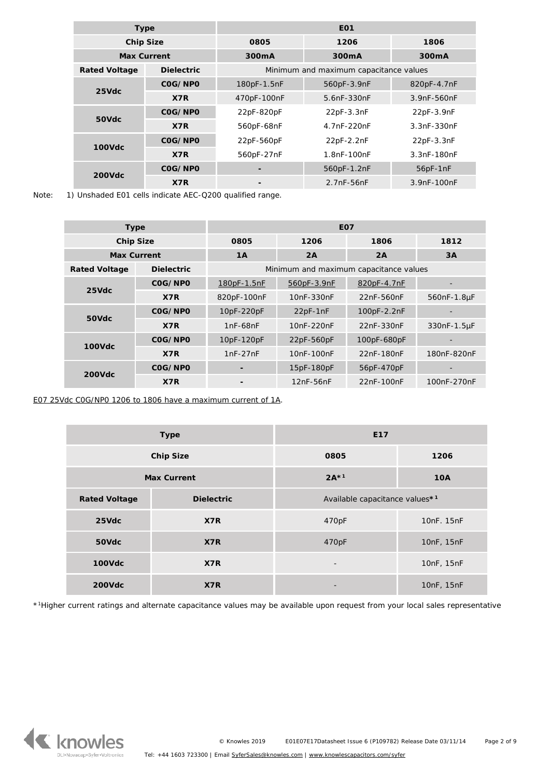|                      | <b>Type</b>       | E <sub>01</sub>    |                                        |                    |
|----------------------|-------------------|--------------------|----------------------------------------|--------------------|
| <b>Chip Size</b>     |                   | 0805               | 1206                                   | 1806               |
| <b>Max Current</b>   |                   | 300 <sub>m</sub> A | 300 <sub>m</sub> A                     | 300 <sub>m</sub> A |
| <b>Rated Voltage</b> | <b>Dielectric</b> |                    | Minimum and maximum capacitance values |                    |
| $25$ Vdc             | COG/NPO           | 180pF-1.5nF        | 560pF-3.9nF                            | 820pF-4.7nF        |
|                      | X7R               | 470pF-100nF        | 5.6nF-330nF                            | 3.9nF-560nF        |
| 50Vdc                | COG/NPO           | 22pF-820pF         | 22pF-3.3nF                             | 22pF-3.9nF         |
|                      | X7R               | 560pF-68nF         | 4.7nF-220nF                            | 3.3nF-330nF        |
|                      | COG/NPO           |                    | 22pF-2.2nF                             | 22pF-3.3nF         |
| <b>100Vdc</b>        | X7R               | 560pF-27nF         | 1.8nF-100nF                            | 3.3nF-180nF        |
| <b>200Vdc</b>        | COG/NPO           |                    | 560pF-1.2nF                            | 56pF-1nF           |
|                      | X7R               |                    | $2.7nF-56nF$                           | 3.9nF-100nF        |

Note: 1) Unshaded E01 cells indicate AEC-Q200 qualified range.

|                      | <b>Type</b>       | E <sub>0</sub> 7 |                                        |             |             |
|----------------------|-------------------|------------------|----------------------------------------|-------------|-------------|
| <b>Chip Size</b>     |                   | 0805             | 1206                                   | 1806        | 1812        |
| <b>Max Current</b>   |                   | 1A               | 2A                                     | 2A          | 3A          |
| <b>Rated Voltage</b> | <b>Dielectric</b> |                  | Minimum and maximum capacitance values |             |             |
| 25Vdc                | COG/NPO           | 180pF-1.5nF      | 560pF-3.9nF                            | 820pF-4.7nF |             |
|                      | X7R               | 820pF-100nF      | 10nF-330nF                             | 22nF-560nF  | 560nF-1.8µF |
| 50Vdc                | COG/NPO           | 10pF-220pF       | 22pF-1nF                               | 100pF-2.2nF |             |
|                      | X7R               | $1nF-68nF$       | 10nF-220nF                             | 22nF-330nF  | 330nF-1.5µF |
| <b>100Vdc</b>        | COG/NPO           | 10pF-120pF       | 22pF-560pF                             | 100pF-680pF |             |
|                      | X7R               | $1nF-27nF$       | 10nF-100nF                             | 22nF-180nF  | 180nF-820nF |
|                      | COG/NPO           |                  | 15pF-180pF                             | 56pF-470pF  |             |
| <b>200Vdc</b>        | X7R               |                  | 12nF-56nF                              | 22nF-100nF  | 100nF-270nF |

*E07 25Vdc C0G/NP0 1206 to 1806 have a maximum current of 1A*.

|                      | <b>Type</b>       | E <sub>17</sub>                |            |  |
|----------------------|-------------------|--------------------------------|------------|--|
|                      | <b>Chip Size</b>  | 0805                           | 1206       |  |
| <b>Max Current</b>   |                   | $2A*1$                         | <b>10A</b> |  |
| <b>Rated Voltage</b> | <b>Dielectric</b> | Available capacitance values*1 |            |  |
| 25Vdc                | X7R               | 470pF                          | 10nF. 15nF |  |
| 50Vdc                | X7R               | 470pF                          | 10nF, 15nF |  |
| <b>100Vdc</b>        | X7R               | 10nF, 15nF<br>-                |            |  |
| <b>200Vdc</b>        | X7R               |                                | 10nF, 15nF |  |

\*1Higher current ratings and alternate capacitance values may be available upon request from your local sales representative

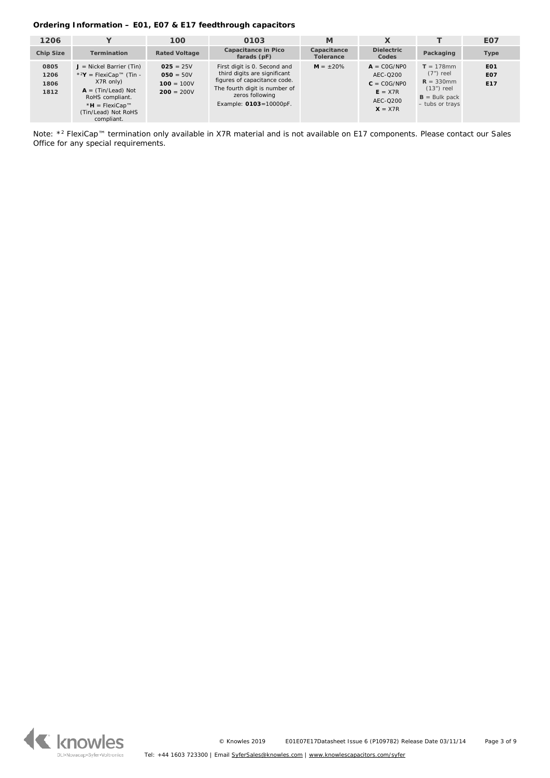# **Ordering Information – E01, E07 & E17 feedthrough capacitors**

| 1206                         | v                                                                                                                                                                             | 100                                                        | 0103                                                                                                                                                                       | M                               | X                                                                                |                                                                                                   | E <sub>0</sub> 7                                 |
|------------------------------|-------------------------------------------------------------------------------------------------------------------------------------------------------------------------------|------------------------------------------------------------|----------------------------------------------------------------------------------------------------------------------------------------------------------------------------|---------------------------------|----------------------------------------------------------------------------------|---------------------------------------------------------------------------------------------------|--------------------------------------------------|
|                              |                                                                                                                                                                               |                                                            |                                                                                                                                                                            |                                 |                                                                                  |                                                                                                   |                                                  |
| <b>Chip Size</b>             | <b>Termination</b>                                                                                                                                                            | <b>Rated Voltage</b>                                       | Capacitance in Pico<br>farads (pF)                                                                                                                                         | Capacitance<br><b>Tolerance</b> | <b>Dielectric</b><br>Codes                                                       | Packaging                                                                                         | Type                                             |
| 0805<br>1206<br>1806<br>1812 | $J =$ Nickel Barrier (Tin)<br>$*^2$ Y = FlexiCap™ (Tin -<br>X7R only)<br>$A = (Tin/lead)$ Not<br>RoHS compliant.<br>* $H = FlexiCap^{m}$<br>(Tin/Lead) Not RoHS<br>compliant. | $025 = 25V$<br>$050 = 50V$<br>$100 = 100V$<br>$200 = 200V$ | First digit is 0. Second and<br>third digits are significant<br>figures of capacitance code.<br>The fourth digit is number of<br>zeros following<br>Example: 0103=10000pF. | $M = \pm 20\%$                  | $A = COG/NPO$<br>AEC-0200<br>$C = COG/NPO$<br>$E = X7R$<br>AEC-0200<br>$X = X7R$ | $T = 178$ mm<br>$(7")$ reel<br>$R = 330$ mm<br>$(13")$ reel<br>$B =$ Bulk pack<br>- tubs or trays | EO <sub>1</sub><br><b>E07</b><br>E <sub>17</sub> |

Note: \*<sup>2</sup> FlexiCap™ termination only available in X7R material and is not available on E17 components. Please contact our Sales Office for any special requirements.

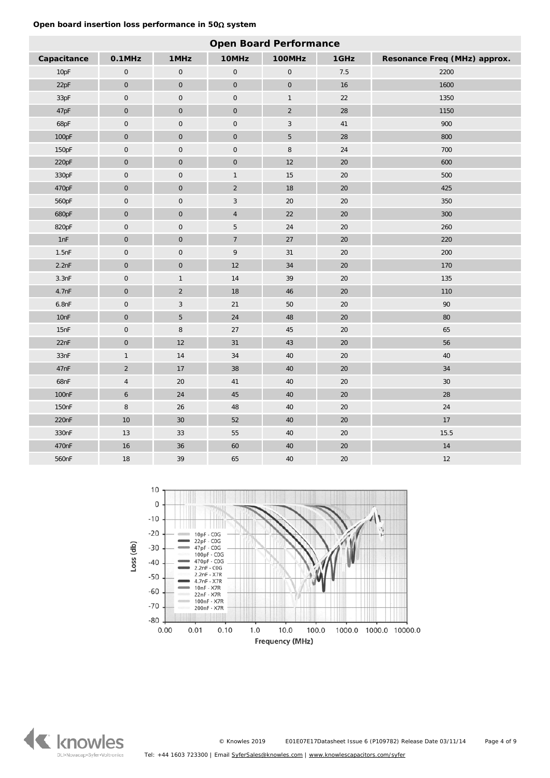# **Open board insertion loss performance in 50**Ω **system**

| <b>Open Board Performance</b> |                     |                     |                     |                     |        |                              |
|-------------------------------|---------------------|---------------------|---------------------|---------------------|--------|------------------------------|
| Capacitance                   | $0.1$ MHz           | 1MHz                | 10MHz               | 100MHz              | 1GHz   | Resonance Freq (MHz) approx. |
| 10pF                          | $\mathsf{O}\xspace$ | $\mathbf 0$         | $\mathbf 0$         | $\mathsf{O}\xspace$ | 7.5    | 2200                         |
| 22pF                          | $\mathsf{O}\xspace$ | $\mathsf{O}\xspace$ | $\mathsf{O}\xspace$ | $\mathsf{O}\xspace$ | $16\,$ | 1600                         |
| 33pF                          | $\mathsf{O}\xspace$ | $\mathbf 0$         | $\mathbf 0$         | $\mathbf{1}$        | $22\,$ | 1350                         |
| 47pF                          | $\mathbf 0$         | $\mathbf 0$         | $\pmb{0}$           | $\overline{2}$      | $28\,$ | 1150                         |
| 68pF                          | $\mathsf{O}\xspace$ | $\pmb{0}$           | $\mathbf 0$         | $\mathbf{3}$        | $41\,$ | 900                          |
| 100pF                         | $\boldsymbol{0}$    | $\mathsf{O}\xspace$ | $\mathbf 0$         | 5                   | $28\,$ | 800                          |
| 150pF                         | $\pmb{0}$           | $\mathbf 0$         | $\mathbf 0$         | $\, 8$              | 24     | 700                          |
| 220pF                         | $\mathsf{O}\xspace$ | $\mathsf{O}\xspace$ | $\pmb{0}$           | $12\,$              | $20\,$ | 600                          |
| 330pF                         | $\mathsf{O}\xspace$ | $\mathbf 0$         | $\mathbf{1}$        | $15\,$              | $20\,$ | 500                          |
| 470pF                         | $\mathsf{O}\xspace$ | $\mathsf{O}\xspace$ | $\overline{2}$      | $18\,$              | $20\,$ | 425                          |
| 560pF                         | $\boldsymbol{0}$    | $\mathbf 0$         | $\mathbf{3}$        | $20\,$              | 20     | 350                          |
| 680pF                         | $\overline{0}$      | $\mathbf 0$         | $\overline{4}$      | 22                  | 20     | 300                          |
| 820pF                         | $\mathsf{O}\xspace$ | $\mathbf 0$         | 5                   | $24\,$              | 20     | 260                          |
| 1nF                           | $\mathsf{O}\xspace$ | $\pmb{0}$           | $\overline{7}$      | 27                  | $20\,$ | 220                          |
| 1.5nF                         | $\mathsf{O}\xspace$ | $\mathbf 0$         | $\mathsf 9$         | 31                  | $20\,$ | 200                          |
| 2.2nF                         | $\mathsf{O}\xspace$ | $\mathsf{O}\xspace$ | 12                  | $34\,$              | 20     | 170                          |
| 3.3nF                         | $\pmb{0}$           | $\mathbf{1}$        | $14\,$              | 39                  | 20     | 135                          |
| 4.7nF                         | $\boldsymbol{0}$    | $\sqrt{2}$          | $18\,$              | $\bf 46$            | $20\,$ | 110                          |
| 6.8nF                         | $\mathsf{O}\xspace$ | $\sqrt{3}$          | $21$                | $50\,$              | $20\,$ | $90\,$                       |
| 10nF                          | $\mathsf{O}\xspace$ | $\sqrt{5}$          | 24                  | 48                  | $20\,$ | 80                           |
| 15nF                          | $\pmb{0}$           | $\, 8$              | $27\,$              | $45\,$              | 20     | 65                           |
| 22nF                          | $\mathsf{O}\xspace$ | 12                  | 31                  | $43\,$              | 20     | 56                           |
| 33nF                          | $\mathbf{1}$        | $14\,$              | $34\,$              | $40\,$              | $20\,$ | $40\,$                       |
| 47nF                          | $\overline{a}$      | $17\,$              | 38                  | $40\,$              | $20\,$ | $34\,$                       |
| 68nF                          | $\overline{4}$      | $20\,$              | $41\,$              | $40\,$              | $20\,$ | $30\,$                       |
| 100 <sub>nF</sub>             | $\boldsymbol{6}$    | $24\,$              | $45\,$              | $40\,$              | 20     | 28                           |
| 150 <sub>nF</sub>             | 8                   | 26                  | $\sqrt{48}$         | $40\,$              | 20     | 24                           |
| 220nF                         | $10$                | $30\,$              | 52                  | $40\,$              | $20\,$ | $17\,$                       |
| 330nF                         | $13\,$              | $33\,$              | $55\,$              | $40\,$              | $20\,$ | 15.5                         |
| 470nF                         | 16                  | 36                  | 60                  | $40\,$              | $20\,$ | $14\,$                       |
| 560nF                         | 18                  | 39                  | 65                  | 40                  | 20     | 12                           |



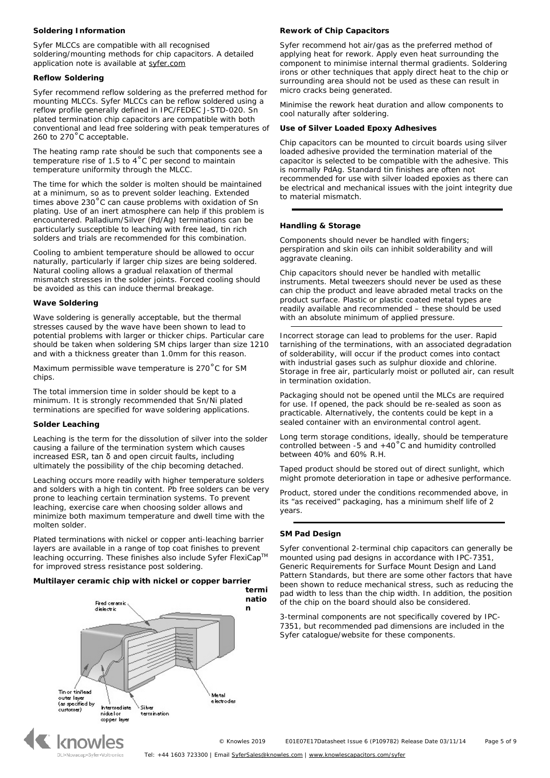#### **Soldering Information**

Syfer MLCCs are compatible with all recognised soldering/mounting methods for chip capacitors. A detailed application note is available at [syfer.com](http://www.syfer.com/)

#### **Reflow Soldering**

Syfer recommend reflow soldering as the preferred method for mounting MLCCs. Syfer MLCCs can be reflow soldered using a reflow profile generally defined in IPC/FEDEC J-STD-020. Sn plated termination chip capacitors are compatible with both conventional and lead free soldering with peak temperatures of 260 to 270°C acceptable.

The heating ramp rate should be such that components see a temperature rise of 1.5 to 4˚C per second to maintain temperature uniformity through the MLCC.

The time for which the solder is molten should be maintained at a minimum, so as to prevent solder leaching. Extended times above 230˚C can cause problems with oxidation of Sn plating. Use of an inert atmosphere can help if this problem is encountered. Palladium/Silver (Pd/Ag) terminations can be particularly susceptible to leaching with free lead, tin rich solders and trials are recommended for this combination.

Cooling to ambient temperature should be allowed to occur naturally, particularly if larger chip sizes are being soldered. Natural cooling allows a gradual relaxation of thermal mismatch stresses in the solder joints. Forced cooling should be avoided as this can induce thermal breakage.

#### **Wave Soldering**

Wave soldering is generally acceptable, but the thermal stresses caused by the wave have been shown to lead to potential problems with larger or thicker chips. Particular care should be taken when soldering SM chips larger than size 1210 and with a thickness greater than 1.0mm for this reason.

Maximum permissible wave temperature is 270˚C for SM chips.

The total immersion time in solder should be kept to a minimum. It is strongly recommended that Sn/Ni plated terminations are specified for wave soldering applications.

#### **Solder Leaching**

Leaching is the term for the dissolution of silver into the solder causing a failure of the termination system which causes increased ESR, tan δ and open circuit faults, including ultimately the possibility of the chip becoming detached.

Leaching occurs more readily with higher temperature solders and solders with a high tin content. Pb free solders can be very prone to leaching certain termination systems. To prevent leaching, exercise care when choosing solder allows and minimize both maximum temperature and dwell time with the molten solder.

Plated terminations with nickel or copper anti-leaching barrier layers are available in a range of top coat finishes to prevent leaching occurring. These finishes also include Syfer FlexiCapTM for improved stress resistance post soldering.

## **Multilayer ceramic chip with nickel or copper barrier**



#### **Rework of Chip Capacitors**

Syfer recommend hot air/gas as the preferred method of applying heat for rework. Apply even heat surrounding the component to minimise internal thermal gradients. Soldering irons or other techniques that apply direct heat to the chip or surrounding area should not be used as these can result in micro cracks being generated.

Minimise the rework heat duration and allow components to cool naturally after soldering.

#### **Use of Silver Loaded Epoxy Adhesives**

Chip capacitors can be mounted to circuit boards using silver loaded adhesive provided the termination material of the capacitor is selected to be compatible with the adhesive. This is normally PdAg. Standard tin finishes are often not recommended for use with silver loaded epoxies as there can be electrical and mechanical issues with the joint integrity due to material mismatch.

## **Handling & Storage**

Components should never be handled with fingers; perspiration and skin oils can inhibit solderability and will aggravate cleaning.

Chip capacitors should never be handled with metallic instruments. Metal tweezers should never be used as these can chip the product and leave abraded metal tracks on the product surface. Plastic or plastic coated metal types are readily available and recommended – these should be used with an absolute minimum of applied pressure.

Incorrect storage can lead to problems for the user. Rapid tarnishing of the terminations, with an associated degradation of solderability, will occur if the product comes into contact with industrial gases such as sulphur dioxide and chlorine. Storage in free air, particularly moist or polluted air, can result in termination oxidation.

Packaging should not be opened until the MLCs are required for use. If opened, the pack should be re-sealed as soon as practicable. Alternatively, the contents could be kept in a sealed container with an environmental control agent.

Long term storage conditions, ideally, should be temperature controlled between -5 and  $+40^{\circ}$ C and humidity controlled between 40% and 60% R.H.

Taped product should be stored out of direct sunlight, which might promote deterioration in tape or adhesive performance.

Product, stored under the conditions recommended above, in its "as received" packaging, has a minimum shelf life of 2 years.

#### **SM Pad Design**

Syfer conventional 2-terminal chip capacitors can generally be mounted using pad designs in accordance with IPC-7351, Generic Requirements for Surface Mount Design and Land Pattern Standards, but there are some other factors that have been shown to reduce mechanical stress, such as reducing the pad width to less than the chip width. In addition, the position of the chip on the board should also be considered.

3-terminal components are not specifically covered by IPC-7351, but recommended pad dimensions are included in the Syfer catalogue/website for these components.

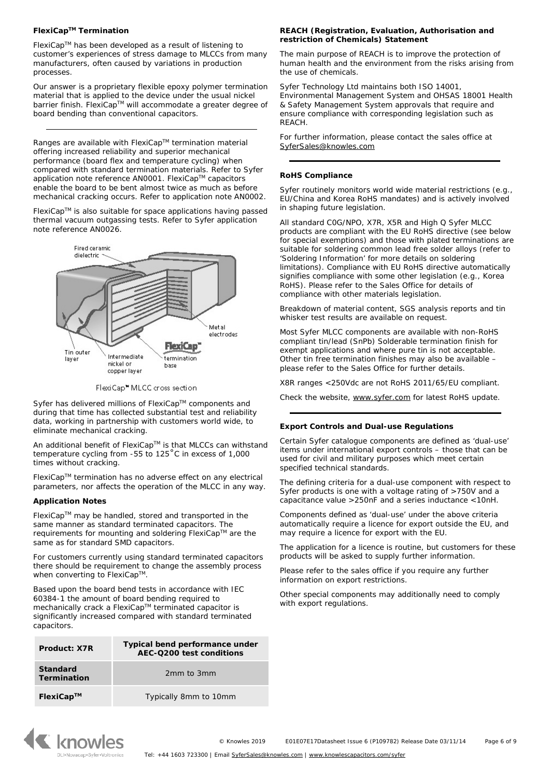# **FlexiCapTM Termination**

FlexiCapTM has been developed as a result of listening to customer's experiences of stress damage to MLCCs from many manufacturers, often caused by variations in production processes.

Our answer is a proprietary flexible epoxy polymer termination material that is applied to the device under the usual nickel barrier finish. FlexiCap™ will accommodate a greater degree of board bending than conventional capacitors.

Ranges are available with FlexiCap™ termination material offering increased reliability and superior mechanical performance (board flex and temperature cycling) when compared with standard termination materials. Refer to Syfer application note reference AN0001. FlexiCap™ capacitors enable the board to be bent almost twice as much as before mechanical cracking occurs. Refer to application note AN0002.

FlexiCapTM is also suitable for space applications having passed thermal vacuum outgassing tests. Refer to Syfer application note reference AN0026.



FlexiCap<sup>\*</sup> MLCC cross section

Syfer has delivered millions of FlexiCap™ components and during that time has collected substantial test and reliability data, working in partnership with customers world wide, to eliminate mechanical cracking.

An additional benefit of FlexiCap™ is that MLCCs can withstand temperature cycling from -55 to 125˚C in excess of 1,000 times without cracking.

FlexiCapTM termination has no adverse effect on any electrical parameters, nor affects the operation of the MLCC in any way.

## **Application Notes**

FlexiCapTM may be handled, stored and transported in the same manner as standard terminated capacitors. The requirements for mounting and soldering FlexiCap™ are the same as for standard SMD capacitors.

For customers currently using standard terminated capacitors there should be requirement to change the assembly process when converting to FlexiCap™

Based upon the board bend tests in accordance with IEC 60384-1 the amount of board bending required to mechanically crack a FlexiCap™ terminated capacitor is significantly increased compared with standard terminated capacitors.

| Product: X7R                          | Typical bend performance under<br>AEC-Q200 test conditions |
|---------------------------------------|------------------------------------------------------------|
| <b>Standard</b><br><b>Termination</b> | 2mm to 3mm                                                 |
| $FlexiCap^{TM}$                       | Typically 8mm to 10mm                                      |

# **REACH (Registration, Evaluation, Authorisation and restriction of Chemicals) Statement**

The main purpose of REACH is to improve the protection of human health and the environment from the risks arising from the use of chemicals.

Syfer Technology Ltd maintains both ISO 14001, Environmental Management System and OHSAS 18001 Health & Safety Management System approvals that require and ensure compliance with corresponding legislation such as REACH.

For further information, please contact the sales office at [SyferSales@knowles.com](mailto:SyferSales@knowles.com)

## **RoHS Compliance**

Syfer routinely monitors world wide material restrictions (e.g., EU/China and Korea RoHS mandates) and is actively involved in shaping future legislation.

All standard C0G/NPO, X7R, X5R and High Q Syfer MLCC products are compliant with the EU RoHS directive (see below for special exemptions) and those with plated terminations are suitable for soldering common lead free solder alloys (refer to 'Soldering Information' for more details on soldering limitations). Compliance with EU RoHS directive automatically signifies compliance with some other legislation (e.g., Korea RoHS). Please refer to the Sales Office for details of compliance with other materials legislation.

Breakdown of material content, SGS analysis reports and tin whisker test results are available on request.

Most Syfer MLCC components are available with non-RoHS compliant tin/lead (SnPb) Solderable termination finish for exempt applications and where pure tin is not acceptable. Other tin free termination finishes may also be available – please refer to the Sales Office for further details.

X8R ranges <250Vdc are not RoHS 2011/65/EU compliant.

Check the website, [www.syfer.com](http://www.syfer.com/) for latest RoHS update.

#### **Export Controls and Dual-use Regulations**

Certain Syfer catalogue components are defined as 'dual-use' items under international export controls – those that can be used for civil and military purposes which meet certain specified technical standards.

The defining criteria for a dual-use component with respect to Syfer products is one with a voltage rating of >750V and a capacitance value >250nF and a series inductance <10nH.

Components defined as 'dual-use' under the above criteria automatically require a licence for export outside the EU, and may require a licence for export with the EU.

The application for a licence is routine, but customers for these products will be asked to supply further information.

Please refer to the sales office if you require any further information on export restrictions.

Other special components may additionally need to comply with export regulations.

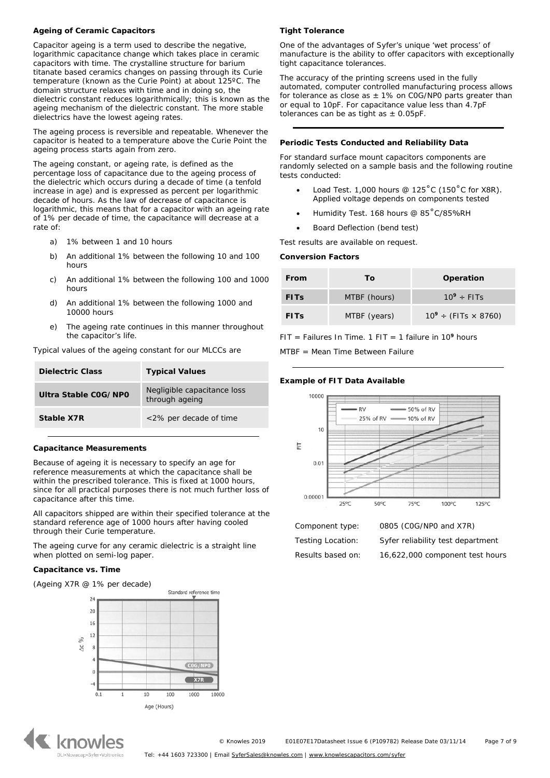## **Ageing of Ceramic Capacitors**

Capacitor ageing is a term used to describe the negative, logarithmic capacitance change which takes place in ceramic capacitors with time. The crystalline structure for barium titanate based ceramics changes on passing through its Curie temperature (known as the Curie Point) at about 125ºC. The domain structure relaxes with time and in doing so, the dielectric constant reduces logarithmically; this is known as the ageing mechanism of the dielectric constant. The more stable dielectrics have the lowest ageing rates.

The ageing process is reversible and repeatable. Whenever the capacitor is heated to a temperature above the Curie Point the ageing process starts again from zero.

The ageing constant, or ageing rate, is defined as the percentage loss of capacitance due to the ageing process of the dielectric which occurs during a decade of time (a tenfold increase in age) and is expressed as percent per logarithmic decade of hours. As the law of decrease of capacitance is logarithmic, this means that for a capacitor with an ageing rate of 1% per decade of time, the capacitance will decrease at a rate of:

- a) 1% between 1 and 10 hours
- b) An additional 1% between the following 10 and 100 hours
- c) An additional 1% between the following 100 and 1000 hours
- d) An additional 1% between the following 1000 and 10000 hours
- e) The ageing rate continues in this manner throughout the capacitor's life.

Typical values of the ageing constant for our MLCCs are

| Dielectric Class     | <b>Typical Values</b>                         |
|----------------------|-----------------------------------------------|
| Ultra Stable COG/NPO | Negligible capacitance loss<br>through ageing |
| Stable X7R           | <2% per decade of time                        |

#### **Capacitance Measurements**

Because of ageing it is necessary to specify an age for reference measurements at which the capacitance shall be within the prescribed tolerance. This is fixed at 1000 hours, since for all practical purposes there is not much further loss of capacitance after this time.

All capacitors shipped are within their specified tolerance at the standard reference age of 1000 hours after having cooled through their Curie temperature.

The ageing curve for any ceramic dielectric is a straight line when plotted on semi-log paper.

#### **Capacitance vs. Time**

(Ageing X7R @ 1% per decade)



# **K** knowles

#### **Tight Tolerance**

One of the advantages of Syfer's unique 'wet process' of manufacture is the ability to offer capacitors with exceptionally tight capacitance tolerances.

The accuracy of the printing screens used in the fully automated, computer controlled manufacturing process allows for tolerance as close as  $\pm$  1% on COG/NP0 parts greater than or equal to 10pF. For capacitance value less than 4.7pF tolerances can be as tight as  $\pm$  0.05pF.

#### **Periodic Tests Conducted and Reliability Data**

For standard surface mount capacitors components are randomly selected on a sample basis and the following routine tests conducted:

- Load Test.  $1,000$  hours @  $125^{\circ}$ C (150 $^{\circ}$ C for X8R). Applied voltage depends on components tested
- Humidity Test. 168 hours @ 85˚C/85%RH
- Board Deflection (bend test)

Test results are available on request.

#### **Conversion Factors**

| From        | Τo           | Operation                      |
|-------------|--------------|--------------------------------|
| <b>FITS</b> | MTBF (hours) | $10^9 \div$ FITs               |
| <b>FITS</b> | MTBF (years) | $10^9 \div (FITS \times 8760)$ |

FIT = Failures In Time. 1 FIT = 1 failure in 10**<sup>9</sup>** hours

MTBF = Mean Time Between Failure

#### **Example of FIT Data Available**



Component type: 0805 (C0G/NP0 and X7R) Testing Location: Syfer reliability test department

Results based on: 16,622,000 component test hours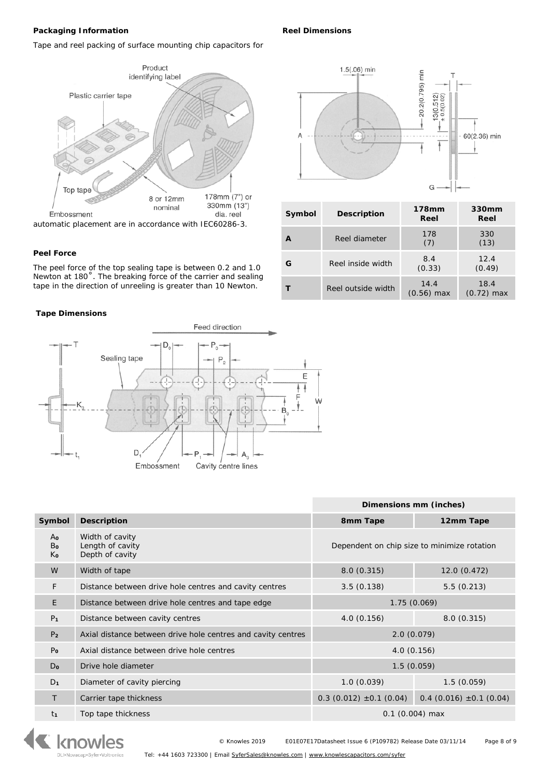# **Packaging Information**

**Reel Dimensions**

 $\overline{A}$ 

**Symbol Description 178mm** 

1.5(.06) min

**<sup>A</sup>** Reel diameter <sup>178</sup>

**<sup>G</sup>** Reel inside width 8.4

**T** Reel outside width **14.4** 

**Reel**

G

20.2(0.795) min

 $13(0.512)$ <br> $\pm 0.5(0.02)$ 

ŧ

1

(7)

(0.33)

(0.56) max

**330mm Reel**

60(2.36) min

330 (13)

12.4 (0.49)

18.4 (0.72) max

Tape and reel packing of surface mounting chip capacitors for



#### **Peel Force**

The peel force of the top sealing tape is between 0.2 and 1.0 Newton at 180˚. The breaking force of the carrier and sealing tape in the direction of unreeling is greater than 10 Newton.

#### **Tape Dimensions**



|                |                                                              | Dimensions mm (inches)                      |                                |  |  |
|----------------|--------------------------------------------------------------|---------------------------------------------|--------------------------------|--|--|
| Symbol         | <b>Description</b>                                           | 8mm Tape                                    | 12mm Tape                      |  |  |
| Ao<br>Bo<br>Κo | Width of cavity<br>Length of cavity<br>Depth of cavity       | Dependent on chip size to minimize rotation |                                |  |  |
| W              | Width of tape                                                | 8.0(0.315)<br>12.0 (0.472)                  |                                |  |  |
| F              | Distance between drive hole centres and cavity centres       | 5.5(0.213)<br>3.5(0.138)                    |                                |  |  |
| E              | Distance between drive hole centres and tape edge            | 1.75(0.069)                                 |                                |  |  |
| P <sub>1</sub> | Distance between cavity centres                              | 8.0(0.315)<br>4.0(0.156)                    |                                |  |  |
| P <sub>2</sub> | Axial distance between drive hole centres and cavity centres | 2.0(0.079)                                  |                                |  |  |
| P <sub>o</sub> | Axial distance between drive hole centres                    | 4.0(0.156)                                  |                                |  |  |
| $D_0$          | Drive hole diameter                                          | 1.5(0.059)                                  |                                |  |  |
| D <sub>1</sub> | Diameter of cavity piercing                                  | 1.0(0.039)                                  | 1.5(0.059)                     |  |  |
| Τ              | Carrier tape thickness                                       | $0.3$ (0.012) $\pm 0.1$ (0.04)              | $0.4$ (0.016) $\pm 0.1$ (0.04) |  |  |
| t1             | Top tape thickness                                           |                                             | $0.1$ (0.004) max              |  |  |